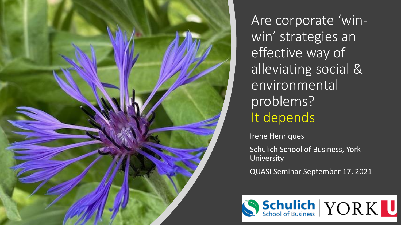

Are corporate 'winwin' strategies an effective way of alleviating social & environmental problems? It depends

Irene Henriques

Schulich School of Business, York University

QUASI Seminar September 17, 2021

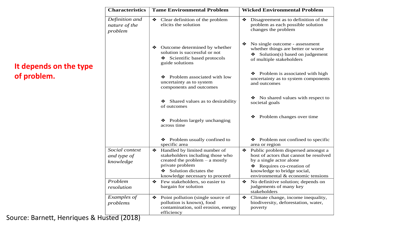| <b>Characteristics</b>                     | <b>Tame Environmental Problem</b>                                                                                                                                                       | <b>Wicked Environmental Problem</b>                                                                                                                                                                         |
|--------------------------------------------|-----------------------------------------------------------------------------------------------------------------------------------------------------------------------------------------|-------------------------------------------------------------------------------------------------------------------------------------------------------------------------------------------------------------|
| Definition and<br>nature of the<br>problem | Clear definition of the problem<br>❖<br>elicits the solution                                                                                                                            | Disagreement as to definition of the<br>❖<br>problem as each possible solution<br>changes the problem                                                                                                       |
|                                            | Outcome determined by whether<br>❖<br>solution is successful or not<br>Scientific based protocols<br>guide solutions                                                                    | No single outcome - assessment<br>❖<br>whether things are better or worse<br>Solution(s) based on judgement<br>of multiple stakeholders                                                                     |
|                                            | Problem associated with low<br>❖<br>uncertainty as to system<br>components and outcomes                                                                                                 | ❖ Problem is associated with high<br>uncertainty as to system components<br>and outcomes                                                                                                                    |
|                                            | Shared values as to desirability<br>❖<br>of outcomes                                                                                                                                    | No shared values with respect to<br>societal goals                                                                                                                                                          |
|                                            | ❖ Problem largely unchanging<br>across time                                                                                                                                             | Problem changes over time<br>❖                                                                                                                                                                              |
|                                            | ❖ Problem usually confined to<br>specific area                                                                                                                                          | ❖ Problem not confined to specific<br>area or region                                                                                                                                                        |
| Social context<br>and type of<br>knowledge | Handled by limited number of<br>❖<br>stakeholders including those who<br>created the problem $-$ a mostly<br>private problem<br>Solution dictates the<br>knowledge necessary to proceed | Public problem dispersed amongst a<br>❖<br>host of actors that cannot be resolved<br>by a single actor alone<br>Requires co-creation of<br>knowledge to bridge social,<br>environmental & economic tensions |
| Problem<br>resolution                      | ❖<br>Few stakeholders, so easier to<br>bargain for solution                                                                                                                             | No definitive solution; depends on<br>❖<br>judgements of many key<br>stakeholders                                                                                                                           |
| Examples of<br>problems                    | Point pollution (single source of<br>❖<br>pollution is known), food<br>contamination, soil erosion, energy<br>efficiency                                                                | Climate change, income inequality,<br>❖<br>biodiversity, deforestation, water,<br>poverty                                                                                                                   |

## **It depends on the type of problem.**

Source: Barnett, Henriques & Husted (2018)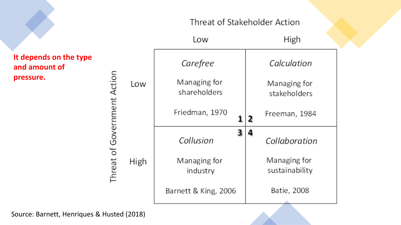## Threat of Stakeholder Action

| It depends on the type<br>and amount of |  |
|-----------------------------------------|--|
| pressure.                               |  |
|                                         |  |
|                                         |  |
|                                         |  |
|                                         |  |

|      | Low                          | High                           |
|------|------------------------------|--------------------------------|
| Low  | Carefree                     | Calculation                    |
|      | Managing for<br>shareholders | Managing for<br>stakeholders   |
|      | Friedman, 1970<br>1          | Freeman, 1984<br>2             |
| High | 3<br>Collusion               | Collaboration                  |
|      | Managing for<br>industry     | Managing for<br>sustainability |
|      | Barnett & King, 2006         | Batie, 2008                    |

Source: Barnett, Henriques & Husted (2018)

Threat of Government Action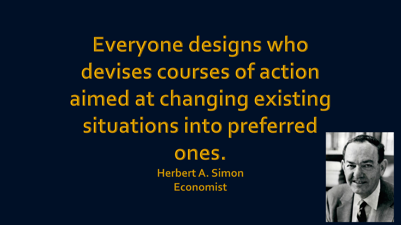Everyone designs who devises courses of action aimed at changing existing situations into preferred ones. **Herbert A. Simon** Economist

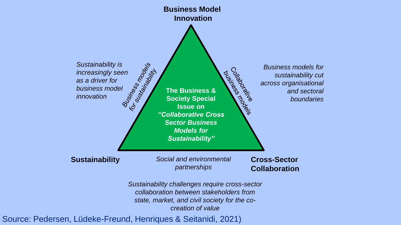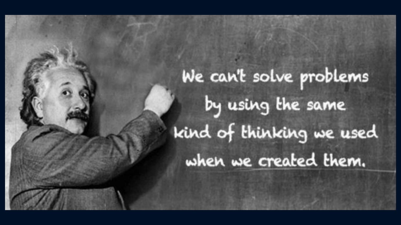## We can't solve problems by using the same kind of thinking we used when we created them.